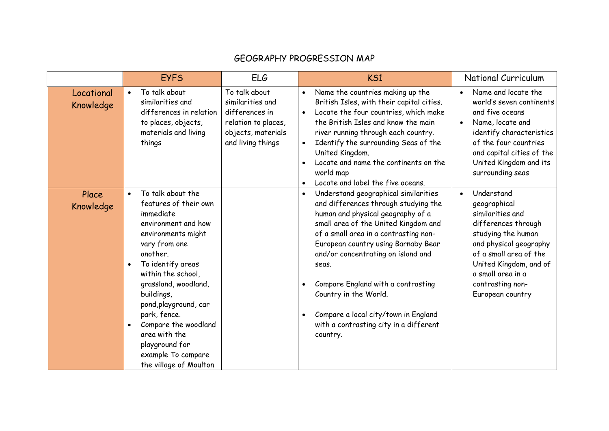## GEOGRAPHY PROGRESSION MAP

|                         | <b>EYFS</b>                                                                                                                                                                                                                                                                                                                                                                                                    | <b>ELG</b>                                                                                                            | KS1                                                                                                                                                                                                                                                                                                                                                                                                                                                                             | National Curriculum                                                                                                                                                                                                                    |
|-------------------------|----------------------------------------------------------------------------------------------------------------------------------------------------------------------------------------------------------------------------------------------------------------------------------------------------------------------------------------------------------------------------------------------------------------|-----------------------------------------------------------------------------------------------------------------------|---------------------------------------------------------------------------------------------------------------------------------------------------------------------------------------------------------------------------------------------------------------------------------------------------------------------------------------------------------------------------------------------------------------------------------------------------------------------------------|----------------------------------------------------------------------------------------------------------------------------------------------------------------------------------------------------------------------------------------|
| Locational<br>Knowledge | To talk about<br>$\bullet$<br>similarities and<br>differences in relation<br>to places, objects,<br>materials and living<br>things                                                                                                                                                                                                                                                                             | To talk about<br>similarities and<br>differences in<br>relation to places,<br>objects, materials<br>and living things | Name the countries making up the<br>$\bullet$<br>British Isles, with their capital cities.<br>Locate the four countries, which make<br>$\bullet$<br>the British Isles and know the main<br>river running through each country.<br>Identify the surrounding Seas of the<br>$\bullet$<br>United Kingdom.<br>Locate and name the continents on the<br>world map<br>Locate and label the five oceans.<br>$\bullet$                                                                  | Name and locate the<br>world's seven continents<br>and five oceans<br>Name, locate and<br>identify characteristics<br>of the four countries<br>and capital cities of the<br>United Kingdom and its<br>surrounding seas                 |
| Place<br>Knowledge      | To talk about the<br>$\bullet$<br>features of their own<br>immediate<br>environment and how<br>environments might<br>vary from one<br>another.<br>To identify areas<br>$\bullet$<br>within the school,<br>grassland, woodland,<br>buildings,<br>pond, play ground, car<br>park, fence.<br>Compare the woodland<br>$\bullet$<br>area with the<br>playground for<br>example To compare<br>the village of Moulton |                                                                                                                       | Understand geographical similarities<br>$\bullet$<br>and differences through studying the<br>human and physical geography of a<br>small area of the United Kingdom and<br>of a small area in a contrasting non-<br>European country using Barnaby Bear<br>and/or concentrating on island and<br>seas.<br>Compare England with a contrasting<br>$\bullet$<br>Country in the World.<br>Compare a local city/town in England<br>with a contrasting city in a different<br>country. | Understand<br>geographical<br>similarities and<br>differences through<br>studying the human<br>and physical geography<br>of a small area of the<br>United Kingdom, and of<br>a small area in a<br>contrasting non-<br>European country |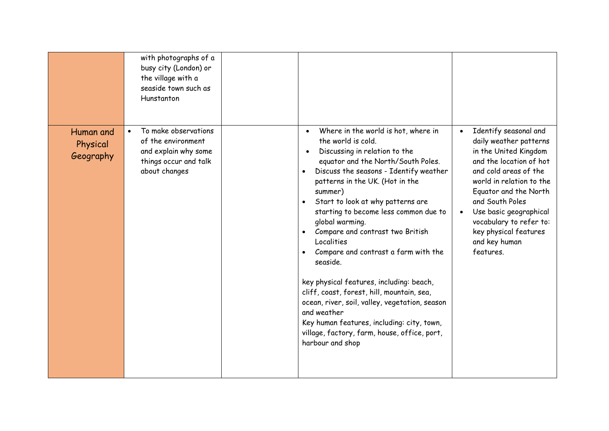|                                    | with photographs of a<br>busy city (London) or<br>the village with a<br>seaside town such as<br>Hunstanton                |                                                                                                                                                                                                                                                                                                                                                                                                                                                                                                                                                                                                                                                                                                                                        |                                                                                                                                                                                                                                                                                                                                            |
|------------------------------------|---------------------------------------------------------------------------------------------------------------------------|----------------------------------------------------------------------------------------------------------------------------------------------------------------------------------------------------------------------------------------------------------------------------------------------------------------------------------------------------------------------------------------------------------------------------------------------------------------------------------------------------------------------------------------------------------------------------------------------------------------------------------------------------------------------------------------------------------------------------------------|--------------------------------------------------------------------------------------------------------------------------------------------------------------------------------------------------------------------------------------------------------------------------------------------------------------------------------------------|
| Human and<br>Physical<br>Geography | To make observations<br>$\bullet$<br>of the environment<br>and explain why some<br>things occur and talk<br>about changes | Where in the world is hot, where in<br>the world is cold.<br>Discussing in relation to the<br>equator and the North/South Poles.<br>Discuss the seasons - Identify weather<br>$\bullet$<br>patterns in the UK. (Hot in the<br>summer)<br>Start to look at why patterns are<br>starting to become less common due to<br>global warming.<br>Compare and contrast two British<br>$\bullet$<br>Localities<br>Compare and contrast a farm with the<br>seaside.<br>key physical features, including: beach,<br>cliff, coast, forest, hill, mountain, sea,<br>ocean, river, soil, valley, vegetation, season<br>and weather<br>Key human features, including: city, town,<br>village, factory, farm, house, office, port,<br>harbour and shop | Identify seasonal and<br>$\bullet$<br>daily weather patterns<br>in the United Kingdom<br>and the location of hot<br>and cold areas of the<br>world in relation to the<br>Equator and the North<br>and South Poles<br>Use basic geographical<br>$\bullet$<br>vocabulary to refer to:<br>key physical features<br>and key human<br>features. |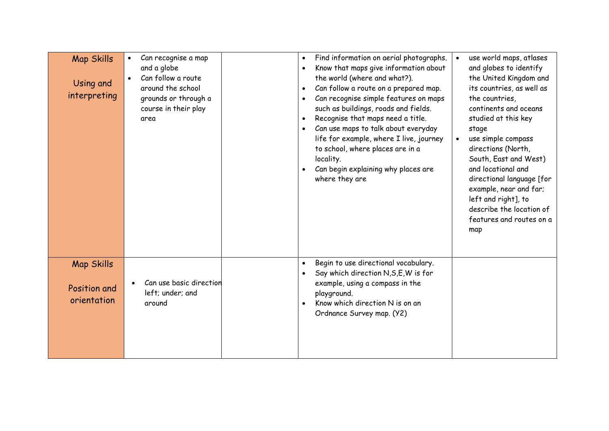| <b>Map Skills</b><br>Using and<br>interpreting   | Can recognise a map<br>$\bullet$<br>and a globe<br>Can follow a route<br>$\bullet$<br>around the school<br>grounds or through a<br>course in their play<br>area | Find information on aerial photographs.<br>$\bullet$<br>Know that maps give information about<br>$\bullet$<br>the world (where and what?).<br>Can follow a route on a prepared map.<br>$\bullet$<br>Can recognise simple features on maps<br>$\bullet$<br>such as buildings, roads and fields.<br>Recognise that maps need a title.<br>$\bullet$<br>Can use maps to talk about everyday<br>life for example, where I live, journey<br>to school, where places are in a<br>locality.<br>Can begin explaining why places are<br>where they are | $\bullet$<br>$\bullet$ | use world maps, atlases<br>and globes to identify<br>the United Kingdom and<br>its countries, as well as<br>the countries,<br>continents and oceans<br>studied at this key<br>stage<br>use simple compass<br>directions (North,<br>South, East and West)<br>and locational and<br>directional language [for<br>example, near and far;<br>left and right], to<br>describe the location of<br>features and routes on a<br>map |
|--------------------------------------------------|-----------------------------------------------------------------------------------------------------------------------------------------------------------------|----------------------------------------------------------------------------------------------------------------------------------------------------------------------------------------------------------------------------------------------------------------------------------------------------------------------------------------------------------------------------------------------------------------------------------------------------------------------------------------------------------------------------------------------|------------------------|-----------------------------------------------------------------------------------------------------------------------------------------------------------------------------------------------------------------------------------------------------------------------------------------------------------------------------------------------------------------------------------------------------------------------------|
| <b>Map Skills</b><br>Position and<br>orientation | Can use basic direction<br>left; under; and<br>around                                                                                                           | Begin to use directional vocabulary.<br>$\bullet$<br>Say which direction N, S, E, W is for<br>example, using a compass in the<br>playground.<br>Know which direction N is on an<br>Ordnance Survey map. (Y2)                                                                                                                                                                                                                                                                                                                                 |                        |                                                                                                                                                                                                                                                                                                                                                                                                                             |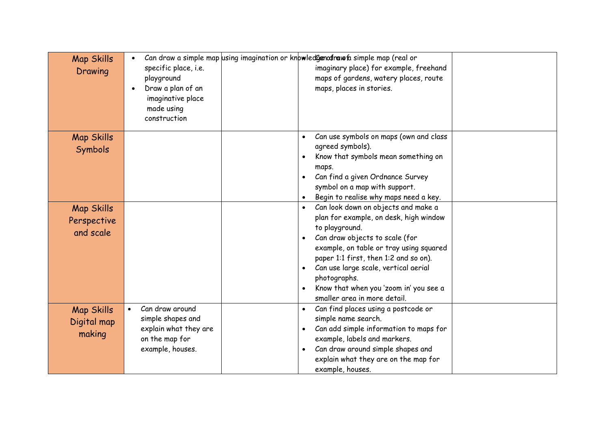| <b>Map Skills</b><br>Drawing                  | $\bullet$<br>specific place, i.e.<br>playground<br>Draw a plan of an<br>$\bullet$<br>imaginative place<br>made using<br>construction | Can draw a simple map using imagination or knowled Genoration faimple map (real or<br>imaginary place) for example, freehand<br>maps of gardens, watery places, route<br>maps, places in stories.                                                                                                                                                                                              |  |
|-----------------------------------------------|--------------------------------------------------------------------------------------------------------------------------------------|------------------------------------------------------------------------------------------------------------------------------------------------------------------------------------------------------------------------------------------------------------------------------------------------------------------------------------------------------------------------------------------------|--|
| <b>Map Skills</b><br>Symbols                  |                                                                                                                                      | Can use symbols on maps (own and class<br>$\bullet$<br>agreed symbols).<br>Know that symbols mean something on<br>maps.<br>Can find a given Ordnance Survey<br>$\bullet$<br>symbol on a map with support.<br>Begin to realise why maps need a key.                                                                                                                                             |  |
| <b>Map Skills</b><br>Perspective<br>and scale |                                                                                                                                      | Can look down on objects and make a<br>$\bullet$<br>plan for example, on desk, high window<br>to playground.<br>Can draw objects to scale (for<br>$\bullet$<br>example, on table or tray using squared<br>paper 1:1 first, then 1:2 and so on).<br>Can use large scale, vertical aerial<br>$\bullet$<br>photographs.<br>Know that when you 'zoom in' you see a<br>smaller area in more detail. |  |
| <b>Map Skills</b><br>Digital map<br>making    | Can draw around<br>$\bullet$<br>simple shapes and<br>explain what they are<br>on the map for<br>example, houses.                     | Can find places using a postcode or<br>$\bullet$<br>simple name search.<br>Can add simple information to maps for<br>$\bullet$<br>example, labels and markers.<br>Can draw around simple shapes and<br>$\bullet$<br>explain what they are on the map for<br>example, houses.                                                                                                                   |  |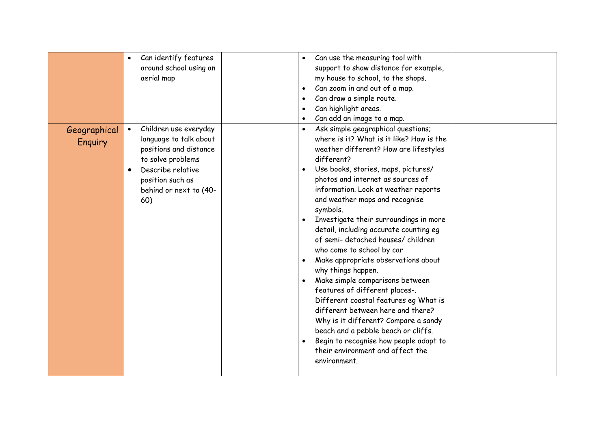|                         | Can identify features<br>around school using an<br>aerial map                                                                                                                                      | Can use the measuring tool with<br>$\bullet$<br>support to show distance for example,<br>my house to school, to the shops.<br>Can zoom in and out of a map.<br>$\bullet$<br>Can draw a simple route.<br>$\bullet$<br>Can highlight areas.<br>$\bullet$<br>Can add an image to a map.                                                                                                                                                                                                                                                                                                                                                                                                                                                                                                                                                                                                               |  |
|-------------------------|----------------------------------------------------------------------------------------------------------------------------------------------------------------------------------------------------|----------------------------------------------------------------------------------------------------------------------------------------------------------------------------------------------------------------------------------------------------------------------------------------------------------------------------------------------------------------------------------------------------------------------------------------------------------------------------------------------------------------------------------------------------------------------------------------------------------------------------------------------------------------------------------------------------------------------------------------------------------------------------------------------------------------------------------------------------------------------------------------------------|--|
| Geographical<br>Enquiry | Children use everyday<br>$\bullet$<br>language to talk about<br>positions and distance<br>to solve problems<br>Describe relative<br>$\bullet$<br>position such as<br>behind or next to (40-<br>60) | Ask simple geographical questions;<br>$\bullet$<br>where is it? What is it like? How is the<br>weather different? How are lifestyles<br>different?<br>Use books, stories, maps, pictures/<br>$\bullet$<br>photos and internet as sources of<br>information. Look at weather reports<br>and weather maps and recognise<br>symbols.<br>Investigate their surroundings in more<br>detail, including accurate counting eg<br>of semi- detached houses/ children<br>who come to school by car<br>Make appropriate observations about<br>$\bullet$<br>why things happen.<br>Make simple comparisons between<br>features of different places-.<br>Different coastal features eg What is<br>different between here and there?<br>Why is it different? Compare a sandy<br>beach and a pebble beach or cliffs.<br>Begin to recognise how people adapt to<br>their environment and affect the<br>environment. |  |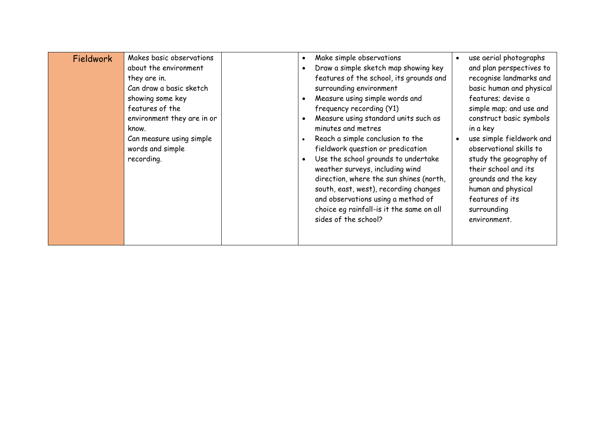| Fieldwork | Makes basic observations<br>about the environment<br>they are in.<br>Can draw a basic sketch<br>showing some key<br>features of the<br>environment they are in or<br>know.<br>Can measure using simple<br>words and simple<br>recording. |  | Make simple observations<br>Draw a simple sketch map showing key<br>features of the school, its grounds and<br>surrounding environment<br>Measure using simple words and<br>frequency recording (Y1)<br>Measure using standard units such as<br>minutes and metres<br>Reach a simple conclusion to the<br>fieldwork question or predication<br>Use the school grounds to undertake<br>weather surveys, including wind<br>direction, where the sun shines (north,<br>south, east, west), recording changes<br>and observations using a method of<br>choice eg rainfall-is it the same on all<br>sides of the school? | use aerial photographs<br>and plan perspectives to<br>recognise landmarks and<br>basic human and physical<br>features; devise a<br>simple map; and use and<br>construct basic symbols<br>in a key<br>use simple fieldwork and<br>observational skills to<br>study the geography of<br>their school and its<br>grounds and the key<br>human and physical<br>features of its<br>surrounding<br>environment. |
|-----------|------------------------------------------------------------------------------------------------------------------------------------------------------------------------------------------------------------------------------------------|--|---------------------------------------------------------------------------------------------------------------------------------------------------------------------------------------------------------------------------------------------------------------------------------------------------------------------------------------------------------------------------------------------------------------------------------------------------------------------------------------------------------------------------------------------------------------------------------------------------------------------|-----------------------------------------------------------------------------------------------------------------------------------------------------------------------------------------------------------------------------------------------------------------------------------------------------------------------------------------------------------------------------------------------------------|
|-----------|------------------------------------------------------------------------------------------------------------------------------------------------------------------------------------------------------------------------------------------|--|---------------------------------------------------------------------------------------------------------------------------------------------------------------------------------------------------------------------------------------------------------------------------------------------------------------------------------------------------------------------------------------------------------------------------------------------------------------------------------------------------------------------------------------------------------------------------------------------------------------------|-----------------------------------------------------------------------------------------------------------------------------------------------------------------------------------------------------------------------------------------------------------------------------------------------------------------------------------------------------------------------------------------------------------|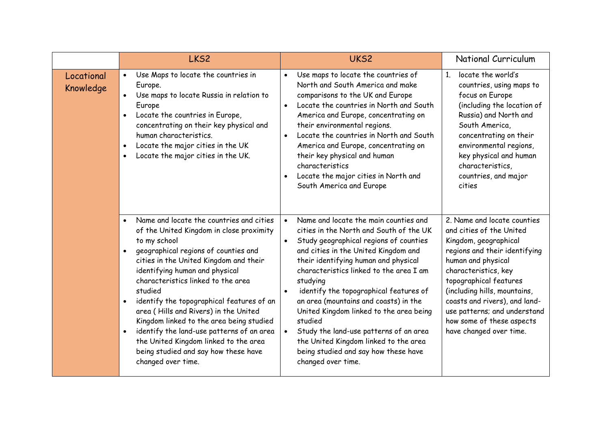|                         | LKS <sub>2</sub>                                                                                                                                                                                                                                                                                                                                                                                                                                                                                                                                                                                       | UKS2                                                                                                                                                                                                                                                                                                                                                                                                                                                                                                                                                        | National Curriculum                                                                                                                                                                                                                                                                                                                                |
|-------------------------|--------------------------------------------------------------------------------------------------------------------------------------------------------------------------------------------------------------------------------------------------------------------------------------------------------------------------------------------------------------------------------------------------------------------------------------------------------------------------------------------------------------------------------------------------------------------------------------------------------|-------------------------------------------------------------------------------------------------------------------------------------------------------------------------------------------------------------------------------------------------------------------------------------------------------------------------------------------------------------------------------------------------------------------------------------------------------------------------------------------------------------------------------------------------------------|----------------------------------------------------------------------------------------------------------------------------------------------------------------------------------------------------------------------------------------------------------------------------------------------------------------------------------------------------|
| Locational<br>Knowledge | Use Maps to locate the countries in<br>$\bullet$<br>Europe.<br>Use maps to locate Russia in relation to<br>$\bullet$<br>Europe<br>Locate the countries in Europe,<br>concentrating on their key physical and<br>human characteristics.<br>Locate the major cities in the UK<br>$\bullet$<br>Locate the major cities in the UK.                                                                                                                                                                                                                                                                         | Use maps to locate the countries of<br>$\bullet$<br>North and South America and make<br>comparisons to the UK and Europe<br>Locate the countries in North and South<br>$\bullet$<br>America and Europe, concentrating on<br>their environmental regions.<br>Locate the countries in North and South<br>$\bullet$<br>America and Europe, concentrating on<br>their key physical and human<br>characteristics<br>Locate the major cities in North and<br>South America and Europe                                                                             | locate the world's<br>$\mathbf{1}$<br>countries, using maps to<br>focus on Europe<br>(including the location of<br>Russia) and North and<br>South America,<br>concentrating on their<br>environmental regions,<br>key physical and human<br>characteristics,<br>countries, and major<br>cities                                                     |
|                         | Name and locate the countries and cities<br>$\bullet$<br>of the United Kingdom in close proximity<br>to my school<br>geographical regions of counties and<br>cities in the United Kingdom and their<br>identifying human and physical<br>characteristics linked to the area<br>studied<br>identify the topographical features of an<br>$\bullet$<br>area (Hills and Rivers) in the United<br>Kingdom linked to the area being studied<br>identify the land-use patterns of an area<br>$\bullet$<br>the United Kingdom linked to the area<br>being studied and say how these have<br>changed over time. | Name and locate the main counties and<br>cities in the North and South of the UK<br>Study geographical regions of counties<br>and cities in the United Kingdom and<br>their identifying human and physical<br>characteristics linked to the area I am<br>studying<br>identify the topographical features of<br>an area (mountains and coasts) in the<br>United Kingdom linked to the area being<br>studied<br>Study the land-use patterns of an area<br>the United Kingdom linked to the area<br>being studied and say how these have<br>changed over time. | 2. Name and locate counties<br>and cities of the United<br>Kingdom, geographical<br>regions and their identifying<br>human and physical<br>characteristics, key<br>topographical features<br>(including hills, mountains,<br>coasts and rivers), and land-<br>use patterns; and understand<br>how some of these aspects<br>have changed over time. |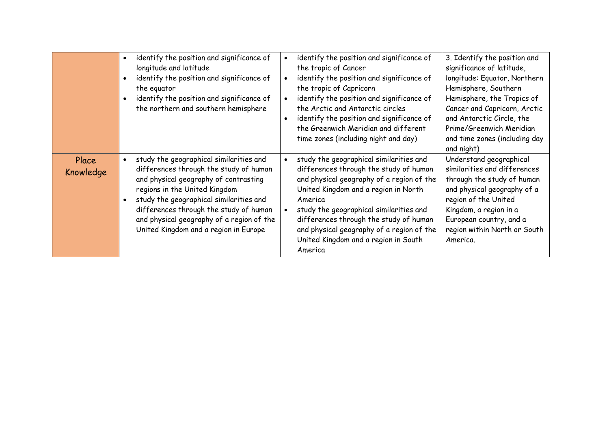|                    | identify the position and significance of<br>longitude and latitude<br>identify the position and significance of<br>the equator<br>identify the position and significance of<br>the northern and southern hemisphere                                                                                                                   | identify the position and significance of<br>the tropic of Cancer<br>identify the position and significance of<br>the tropic of Capricorn<br>identify the position and significance of<br>the Arctic and Antarctic circles<br>identify the position and significance of<br>the Greenwich Meridian and different<br>time zones (including night and day)                | 3. Identify the position and<br>significance of latitude,<br>longitude: Equator, Northern<br>Hemisphere, Southern<br>Hemisphere, the Tropics of<br>Cancer and Capricorn, Arctic<br>and Antarctic Circle, the<br>Prime/Greenwich Meridian<br>and time zones (including day<br>and night) |
|--------------------|----------------------------------------------------------------------------------------------------------------------------------------------------------------------------------------------------------------------------------------------------------------------------------------------------------------------------------------|------------------------------------------------------------------------------------------------------------------------------------------------------------------------------------------------------------------------------------------------------------------------------------------------------------------------------------------------------------------------|-----------------------------------------------------------------------------------------------------------------------------------------------------------------------------------------------------------------------------------------------------------------------------------------|
| Place<br>Knowledge | study the geographical similarities and<br>differences through the study of human<br>and physical geography of contrasting<br>regions in the United Kingdom<br>study the geographical similarities and<br>differences through the study of human<br>and physical geography of a region of the<br>United Kingdom and a region in Europe | study the geographical similarities and<br>differences through the study of human<br>and physical geography of a region of the<br>United Kingdom and a region in North<br>America<br>study the geographical similarities and<br>differences through the study of human<br>and physical geography of a region of the<br>United Kingdom and a region in South<br>America | Understand geographical<br>similarities and differences<br>through the study of human<br>and physical geography of a<br>region of the United<br>Kingdom, a region in a<br>European country, and a<br>region within North or South<br>America.                                           |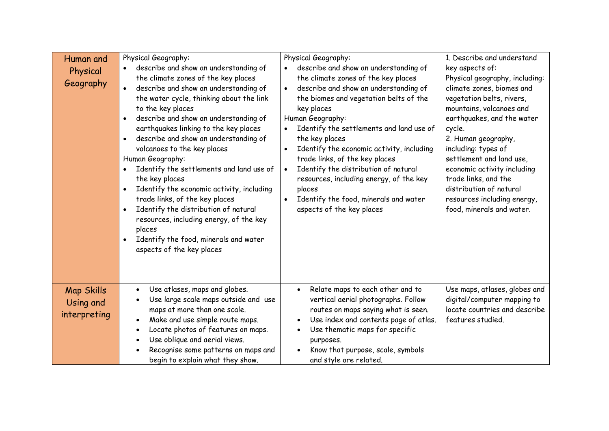| Human and<br>Physical<br>Geography             | Physical Geography:<br>describe and show an understanding of<br>the climate zones of the key places<br>describe and show an understanding of<br>$\bullet$<br>the water cycle, thinking about the link<br>to the key places<br>describe and show an understanding of<br>$\bullet$<br>earthquakes linking to the key places<br>describe and show an understanding of<br>$\bullet$<br>volcanoes to the key places<br>Human Geography:<br>Identify the settlements and land use of<br>the key places<br>Identify the economic activity, including<br>$\bullet$<br>trade links, of the key places<br>Identify the distribution of natural<br>$\bullet$<br>resources, including energy, of the key<br>places<br>Identify the food, minerals and water<br>$\bullet$<br>aspects of the key places | Physical Geography:<br>describe and show an understanding of<br>the climate zones of the key places<br>describe and show an understanding of<br>the biomes and vegetation belts of the<br>key places<br>Human Geography:<br>Identify the settlements and land use of<br>the key places<br>Identify the economic activity, including<br>trade links, of the key places<br>Identify the distribution of natural<br>resources, including energy, of the key<br>places<br>Identify the food, minerals and water<br>aspects of the key places | 1. Describe and understand<br>key aspects of:<br>Physical geography, including:<br>climate zones, biomes and<br>vegetation belts, rivers,<br>mountains, volcanoes and<br>earthquakes, and the water<br>cycle.<br>2. Human geography,<br>including: types of<br>settlement and land use,<br>economic activity including<br>trade links, and the<br>distribution of natural<br>resources including energy,<br>food, minerals and water. |
|------------------------------------------------|-------------------------------------------------------------------------------------------------------------------------------------------------------------------------------------------------------------------------------------------------------------------------------------------------------------------------------------------------------------------------------------------------------------------------------------------------------------------------------------------------------------------------------------------------------------------------------------------------------------------------------------------------------------------------------------------------------------------------------------------------------------------------------------------|------------------------------------------------------------------------------------------------------------------------------------------------------------------------------------------------------------------------------------------------------------------------------------------------------------------------------------------------------------------------------------------------------------------------------------------------------------------------------------------------------------------------------------------|---------------------------------------------------------------------------------------------------------------------------------------------------------------------------------------------------------------------------------------------------------------------------------------------------------------------------------------------------------------------------------------------------------------------------------------|
| <b>Map Skills</b><br>Using and<br>interpreting | Use atlases, maps and globes.<br>$\bullet$<br>Use large scale maps outside and use<br>$\bullet$<br>maps at more than one scale.<br>Make and use simple route maps.<br>$\bullet$<br>Locate photos of features on maps.<br>$\bullet$<br>Use oblique and aerial views.<br>$\bullet$<br>Recognise some patterns on maps and<br>begin to explain what they show.                                                                                                                                                                                                                                                                                                                                                                                                                               | Relate maps to each other and to<br>$\bullet$<br>vertical aerial photographs. Follow<br>routes on maps saying what is seen.<br>Use index and contents page of atlas.<br>$\bullet$<br>Use thematic maps for specific<br>purposes.<br>Know that purpose, scale, symbols<br>and style are related.                                                                                                                                                                                                                                          | Use maps, atlases, globes and<br>digital/computer mapping to<br>locate countries and describe<br>features studied.                                                                                                                                                                                                                                                                                                                    |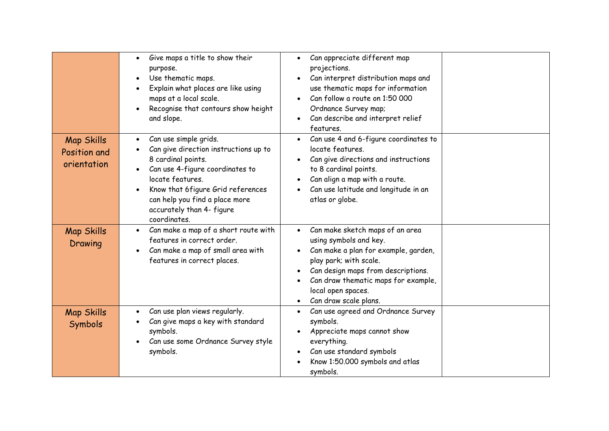|                                                  | Give maps a title to show their<br>$\bullet$<br>purpose.<br>Use thematic maps.<br>$\bullet$<br>Explain what places are like using<br>maps at a local scale.<br>Recognise that contours show height<br>$\bullet$<br>and slope.                                                 | Can appreciate different map<br>$\bullet$<br>projections.<br>Can interpret distribution maps and<br>use thematic maps for information<br>Can follow a route on 1:50 000<br>Ordnance Survey map;<br>Can describe and interpret relief<br>features.                    |  |
|--------------------------------------------------|-------------------------------------------------------------------------------------------------------------------------------------------------------------------------------------------------------------------------------------------------------------------------------|----------------------------------------------------------------------------------------------------------------------------------------------------------------------------------------------------------------------------------------------------------------------|--|
| <b>Map Skills</b><br>Position and<br>orientation | Can use simple grids.<br>$\bullet$<br>Can give direction instructions up to<br>8 cardinal points.<br>Can use 4-figure coordinates to<br>locate features.<br>Know that 6 figure Grid references<br>can help you find a place more<br>accurately than 4- figure<br>coordinates. | Can use 4 and 6-figure coordinates to<br>locate features.<br>Can give directions and instructions<br>to 8 cardinal points.<br>Can align a map with a route.<br>Can use latitude and longitude in an<br>atlas or globe.                                               |  |
| <b>Map Skills</b><br>Drawing                     | Can make a map of a short route with<br>$\bullet$<br>features in correct order.<br>Can make a map of small area with<br>features in correct places.                                                                                                                           | Can make sketch maps of an area<br>$\bullet$<br>using symbols and key.<br>Can make a plan for example, garden,<br>play park; with scale.<br>Can design maps from descriptions.<br>Can draw thematic maps for example,<br>local open spaces.<br>Can draw scale plans. |  |
| <b>Map Skills</b><br>Symbols                     | Can use plan views regularly.<br>$\bullet$<br>Can give maps a key with standard<br>symbols.<br>Can use some Ordnance Survey style<br>symbols.                                                                                                                                 | Can use agreed and Ordnance Survey<br>symbols.<br>Appreciate maps cannot show<br>everything.<br>Can use standard symbols<br>Know 1:50.000 symbols and atlas<br>symbols.                                                                                              |  |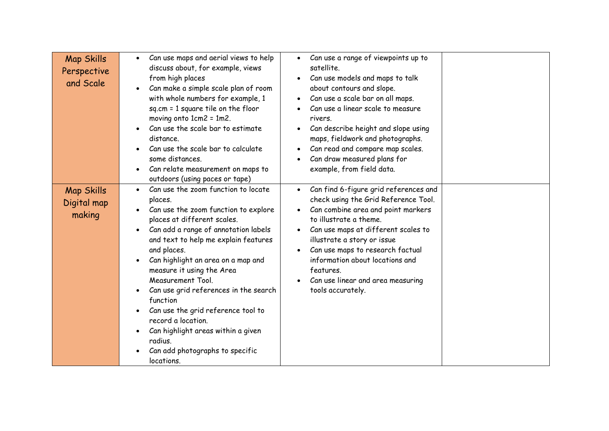| <b>Map Skills</b><br>Perspective<br>and Scale | Can use maps and aerial views to help<br>$\bullet$<br>discuss about, for example, views<br>from high places<br>Can make a simple scale plan of room<br>with whole numbers for example, 1<br>$sq.cm = 1 square$ tile on the floor<br>moving onto 1cm2 = 1m2.<br>Can use the scale bar to estimate<br>$\bullet$<br>distance.<br>Can use the scale bar to calculate<br>some distances.<br>Can relate measurement on maps to<br>outdoors (using paces or tape)                                                                                                                                                    | Can use a range of viewpoints up to<br>$\bullet$<br>satellite.<br>Can use models and maps to talk<br>about contours and slope.<br>Can use a scale bar on all maps.<br>Can use a linear scale to measure<br>rivers.<br>Can describe height and slope using<br>maps, fieldwork and photographs.<br>Can read and compare map scales.<br>Can draw measured plans for<br>example, from field data. |
|-----------------------------------------------|---------------------------------------------------------------------------------------------------------------------------------------------------------------------------------------------------------------------------------------------------------------------------------------------------------------------------------------------------------------------------------------------------------------------------------------------------------------------------------------------------------------------------------------------------------------------------------------------------------------|-----------------------------------------------------------------------------------------------------------------------------------------------------------------------------------------------------------------------------------------------------------------------------------------------------------------------------------------------------------------------------------------------|
| <b>Map Skills</b><br>Digital map<br>making    | Can use the zoom function to locate<br>$\bullet$<br>places.<br>Can use the zoom function to explore<br>places at different scales.<br>Can add a range of annotation labels<br>$\bullet$<br>and text to help me explain features<br>and places.<br>Can highlight an area on a map and<br>$\bullet$<br>measure it using the Area<br>Measurement Tool.<br>Can use grid references in the search<br>$\bullet$<br>function<br>Can use the grid reference tool to<br>$\bullet$<br>record a location.<br>Can highlight areas within a given<br>$\bullet$<br>radius.<br>Can add photographs to specific<br>locations. | Can find 6-figure grid references and<br>$\bullet$<br>check using the Grid Reference Tool.<br>Can combine area and point markers<br>$\bullet$<br>to illustrate a theme.<br>Can use maps at different scales to<br>illustrate a story or issue<br>Can use maps to research factual<br>information about locations and<br>features.<br>Can use linear and area measuring<br>tools accurately.   |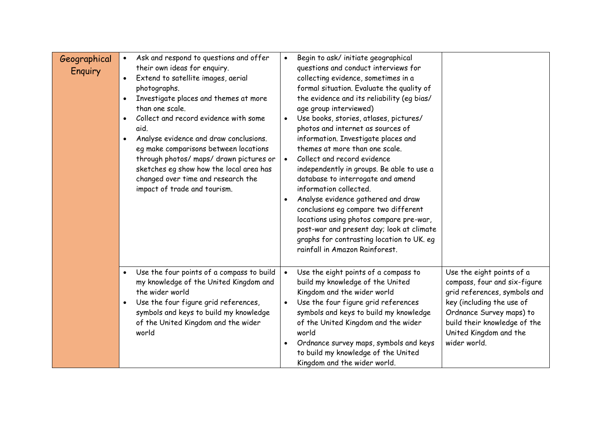| Geographical<br>Enquiry | Ask and respond to questions and offer<br>their own ideas for enquiry.<br>Extend to satellite images, aerial<br>photographs.<br>Investigate places and themes at more<br>than one scale.<br>Collect and record evidence with some<br>aid.<br>Analyse evidence and draw conclusions.<br>eg make comparisons between locations<br>through photos/ maps/ drawn pictures or<br>sketches eg show how the local area has<br>changed over time and research the<br>impact of trade and tourism. | Begin to ask/ initiate geographical<br>questions and conduct interviews for<br>collecting evidence, sometimes in a<br>formal situation. Evaluate the quality of<br>the evidence and its reliability (eg bias/<br>age group interviewed)<br>Use books, stories, atlases, pictures/<br>photos and internet as sources of<br>information. Investigate places and<br>themes at more than one scale.<br>Collect and record evidence<br>independently in groups. Be able to use a<br>database to interrogate and amend<br>information collected.<br>Analyse evidence gathered and draw<br>conclusions eq compare two different<br>locations using photos compare pre-war,<br>post-war and present day; look at climate<br>graphs for contrasting location to UK. eg<br>rainfall in Amazon Rainforest. |                                                                                                                                                                                                                              |
|-------------------------|------------------------------------------------------------------------------------------------------------------------------------------------------------------------------------------------------------------------------------------------------------------------------------------------------------------------------------------------------------------------------------------------------------------------------------------------------------------------------------------|-------------------------------------------------------------------------------------------------------------------------------------------------------------------------------------------------------------------------------------------------------------------------------------------------------------------------------------------------------------------------------------------------------------------------------------------------------------------------------------------------------------------------------------------------------------------------------------------------------------------------------------------------------------------------------------------------------------------------------------------------------------------------------------------------|------------------------------------------------------------------------------------------------------------------------------------------------------------------------------------------------------------------------------|
|                         | Use the four points of a compass to build<br>$\bullet$<br>my knowledge of the United Kingdom and<br>the wider world<br>Use the four figure grid references,<br>$\bullet$<br>symbols and keys to build my knowledge<br>of the United Kingdom and the wider<br>world                                                                                                                                                                                                                       | Use the eight points of a compass to<br>build my knowledge of the United<br>Kingdom and the wider world<br>Use the four figure grid references<br>symbols and keys to build my knowledge<br>of the United Kingdom and the wider<br>world<br>Ordnance survey maps, symbols and keys<br>to build my knowledge of the United<br>Kingdom and the wider world.                                                                                                                                                                                                                                                                                                                                                                                                                                       | Use the eight points of a<br>compass, four and six-figure<br>grid references, symbols and<br>key (including the use of<br>Ordnance Survey maps) to<br>build their knowledge of the<br>United Kingdom and the<br>wider world. |